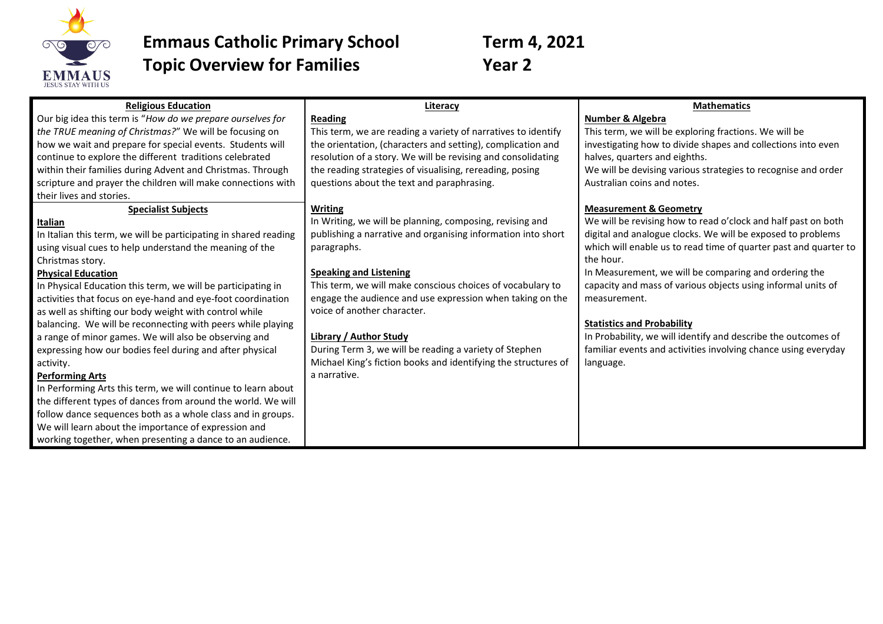

## **Emmaus Catholic Primary School Term 4, 2021 Topic Overview for Families Year 2**

| <b>Religious Education</b>                                       | Literacy                                                       | <b>Mathematics</b>                                               |
|------------------------------------------------------------------|----------------------------------------------------------------|------------------------------------------------------------------|
| Our big idea this term is "How do we prepare ourselves for       | <b>Reading</b>                                                 | Number & Algebra                                                 |
| the TRUE meaning of Christmas?" We will be focusing on           | This term, we are reading a variety of narratives to identify  | This term, we will be exploring fractions. We will be            |
| how we wait and prepare for special events. Students will        | the orientation, (characters and setting), complication and    | investigating how to divide shapes and collections into even     |
| continue to explore the different traditions celebrated          | resolution of a story. We will be revising and consolidating   | halves, quarters and eighths.                                    |
| within their families during Advent and Christmas. Through       | the reading strategies of visualising, rereading, posing       | We will be devising various strategies to recognise and order    |
| scripture and prayer the children will make connections with     | questions about the text and paraphrasing.                     | Australian coins and notes.                                      |
| their lives and stories.                                         |                                                                |                                                                  |
| <b>Specialist Subjects</b>                                       | <b>Writing</b>                                                 | <b>Measurement &amp; Geometry</b>                                |
| Italian                                                          | In Writing, we will be planning, composing, revising and       | We will be revising how to read o'clock and half past on both    |
| In Italian this term, we will be participating in shared reading | publishing a narrative and organising information into short   | digital and analogue clocks. We will be exposed to problems      |
| using visual cues to help understand the meaning of the          | paragraphs.                                                    | which will enable us to read time of quarter past and quarter to |
| Christmas story.                                                 |                                                                | the hour.                                                        |
| <b>Physical Education</b>                                        | <b>Speaking and Listening</b>                                  | In Measurement, we will be comparing and ordering the            |
| In Physical Education this term, we will be participating in     | This term, we will make conscious choices of vocabulary to     | capacity and mass of various objects using informal units of     |
| activities that focus on eye-hand and eye-foot coordination      | engage the audience and use expression when taking on the      | measurement.                                                     |
| as well as shifting our body weight with control while           | voice of another character.                                    |                                                                  |
| balancing. We will be reconnecting with peers while playing      |                                                                | <b>Statistics and Probability</b>                                |
| a range of minor games. We will also be observing and            | <b>Library / Author Study</b>                                  | In Probability, we will identify and describe the outcomes of    |
| expressing how our bodies feel during and after physical         | During Term 3, we will be reading a variety of Stephen         | familiar events and activities involving chance using everyday   |
| activity.                                                        | Michael King's fiction books and identifying the structures of | language.                                                        |
| <b>Performing Arts</b>                                           | a narrative.                                                   |                                                                  |
| In Performing Arts this term, we will continue to learn about    |                                                                |                                                                  |
| the different types of dances from around the world. We will     |                                                                |                                                                  |
| follow dance sequences both as a whole class and in groups.      |                                                                |                                                                  |
| We will learn about the importance of expression and             |                                                                |                                                                  |
| working together, when presenting a dance to an audience.        |                                                                |                                                                  |